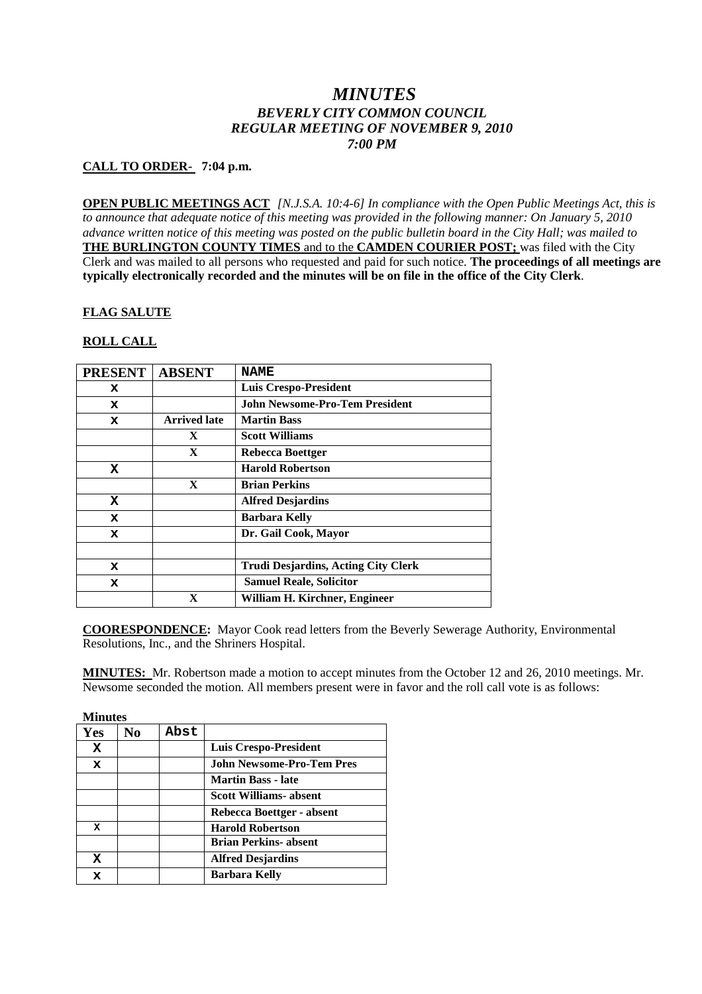# *MINUTES BEVERLY CITY COMMON COUNCIL REGULAR MEETING OF NOVEMBER 9, 2010 7:00 PM*

## **CALL TO ORDER- 7:04 p.m.**

**OPEN PUBLIC MEETINGS ACT** *[N.J.S.A. 10:4-6] In compliance with the Open Public Meetings Act, this is to announce that adequate notice of this meeting was provided in the following manner: On January 5, 2010 advance written notice of this meeting was posted on the public bulletin board in the City Hall; was mailed to* **THE BURLINGTON COUNTY TIMES** and to the **CAMDEN COURIER POST;** was filed with the City Clerk and was mailed to all persons who requested and paid for such notice. **The proceedings of all meetings are typically electronically recorded and the minutes will be on file in the office of the City Clerk**.

## **FLAG SALUTE**

## **ROLL CALL**

| <b>PRESENT</b> | <b>ABSENT</b>       | <b>NAME</b>                                |
|----------------|---------------------|--------------------------------------------|
| x              |                     | <b>Luis Crespo-President</b>               |
| x              |                     | <b>John Newsome-Pro-Tem President</b>      |
| x              | <b>Arrived late</b> | <b>Martin Bass</b>                         |
|                | $\mathbf{X}$        | <b>Scott Williams</b>                      |
|                | $\mathbf{X}$        | Rebecca Boettger                           |
| x              |                     | <b>Harold Robertson</b>                    |
|                | $\mathbf{X}$        | <b>Brian Perkins</b>                       |
| x              |                     | <b>Alfred Desjardins</b>                   |
| x              |                     | <b>Barbara Kelly</b>                       |
| x              |                     | Dr. Gail Cook, Mayor                       |
|                |                     |                                            |
| x              |                     | <b>Trudi Desjardins, Acting City Clerk</b> |
| x              |                     | <b>Samuel Reale, Solicitor</b>             |
|                | X                   | William H. Kirchner, Engineer              |

**COORESPONDENCE:** Mayor Cook read letters from the Beverly Sewerage Authority, Environmental Resolutions, Inc., and the Shriners Hospital.

**MINUTES:** Mr. Robertson made a motion to accept minutes from the October 12 and 26, 2010 meetings. Mr. Newsome seconded the motion. All members present were in favor and the roll call vote is as follows:

| <b>Minutes</b> |     |      |                                  |
|----------------|-----|------|----------------------------------|
| Yes            | No. | Abst |                                  |
| x              |     |      | <b>Luis Crespo-President</b>     |
| x              |     |      | <b>John Newsome-Pro-Tem Pres</b> |
|                |     |      | <b>Martin Bass - late</b>        |
|                |     |      | <b>Scott Williams- absent</b>    |
|                |     |      | Rebecca Boettger - absent        |
| x              |     |      | <b>Harold Robertson</b>          |
|                |     |      | <b>Brian Perkins- absent</b>     |
| x              |     |      | <b>Alfred Desjardins</b>         |
| x              |     |      | <b>Barbara Kelly</b>             |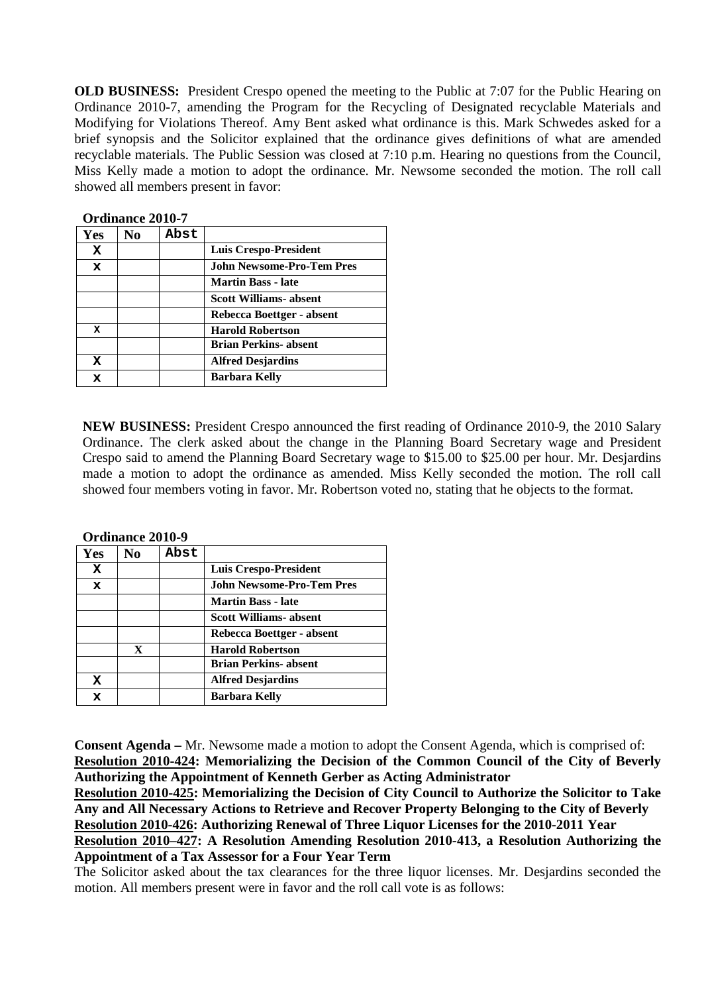**OLD BUSINESS:** President Crespo opened the meeting to the Public at 7:07 for the Public Hearing on Ordinance 2010-7, amending the Program for the Recycling of Designated recyclable Materials and Modifying for Violations Thereof. Amy Bent asked what ordinance is this. Mark Schwedes asked for a brief synopsis and the Solicitor explained that the ordinance gives definitions of what are amended recyclable materials. The Public Session was closed at 7:10 p.m. Hearing no questions from the Council, Miss Kelly made a motion to adopt the ordinance. Mr. Newsome seconded the motion. The roll call showed all members present in favor:

| Yes | No | Abst |                                  |
|-----|----|------|----------------------------------|
| x   |    |      | <b>Luis Crespo-President</b>     |
| x   |    |      | <b>John Newsome-Pro-Tem Pres</b> |
|     |    |      | <b>Martin Bass - late</b>        |
|     |    |      | <b>Scott Williams- absent</b>    |
|     |    |      | Rebecca Boettger - absent        |
| x   |    |      | <b>Harold Robertson</b>          |
|     |    |      | Brian Perkins- absent            |
| x   |    |      | <b>Alfred Desjardins</b>         |
| x   |    |      | Barbara Kelly                    |

**Ordinance 2010-7**

**NEW BUSINESS:** President Crespo announced the first reading of Ordinance 2010-9, the 2010 Salary Ordinance. The clerk asked about the change in the Planning Board Secretary wage and President Crespo said to amend the Planning Board Secretary wage to \$15.00 to \$25.00 per hour. Mr. Desjardins made a motion to adopt the ordinance as amended. Miss Kelly seconded the motion. The roll call showed four members voting in favor. Mr. Robertson voted no, stating that he objects to the format.

| OI UMANG 2010-7 |    |      |                                  |
|-----------------|----|------|----------------------------------|
| <b>Yes</b>      | No | Abst |                                  |
| x               |    |      | Luis Crespo-President            |
| x               |    |      | <b>John Newsome-Pro-Tem Pres</b> |
|                 |    |      | <b>Martin Bass - late</b>        |
|                 |    |      | <b>Scott Williams- absent</b>    |
|                 |    |      | Rebecca Boettger - absent        |
|                 | X  |      | <b>Harold Robertson</b>          |
|                 |    |      | <b>Brian Perkins- absent</b>     |
| X               |    |      | <b>Alfred Desjardins</b>         |
| x               |    |      | <b>Barbara Kelly</b>             |

**Ordinance 2010-9**

**Consent Agenda –** Mr. Newsome made a motion to adopt the Consent Agenda, which is comprised of: **Resolution 2010-424: Memorializing the Decision of the Common Council of the City of Beverly Authorizing the Appointment of Kenneth Gerber as Acting Administrator**

**Resolution 2010-425: Memorializing the Decision of City Council to Authorize the Solicitor to Take Any and All Necessary Actions to Retrieve and Recover Property Belonging to the City of Beverly Resolution 2010-426: Authorizing Renewal of Three Liquor Licenses for the 2010-2011 Year Resolution 2010–427: A Resolution Amending Resolution 2010-413, a Resolution Authorizing the Appointment of a Tax Assessor for a Four Year Term**

The Solicitor asked about the tax clearances for the three liquor licenses. Mr. Desjardins seconded the motion. All members present were in favor and the roll call vote is as follows: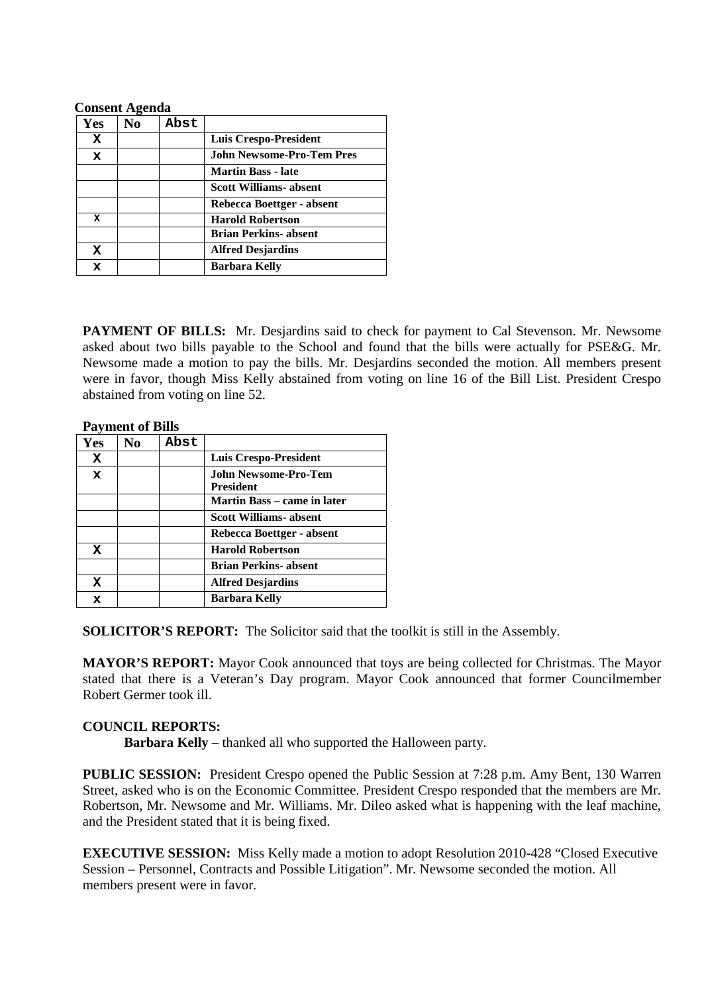#### **Consent Agenda**

| Yes | No | Abst |                                  |
|-----|----|------|----------------------------------|
| x   |    |      | Luis Crespo-President            |
| x   |    |      | <b>John Newsome-Pro-Tem Pres</b> |
|     |    |      | <b>Martin Bass - late</b>        |
|     |    |      | <b>Scott Williams- absent</b>    |
|     |    |      | Rebecca Boettger - absent        |
| x   |    |      | <b>Harold Robertson</b>          |
|     |    |      | <b>Brian Perkins- absent</b>     |
| x   |    |      | <b>Alfred Desjardins</b>         |
|     |    |      | <b>Barbara Kelly</b>             |

**PAYMENT OF BILLS:** Mr. Desjardins said to check for payment to Cal Stevenson. Mr. Newsome asked about two bills payable to the School and found that the bills were actually for PSE&G. Mr. Newsome made a motion to pay the bills. Mr. Desjardins seconded the motion. All members present were in favor, though Miss Kelly abstained from voting on line 16 of the Bill List. President Crespo abstained from voting on line 52.

| <b>Payment of Bills</b> |     |      |                                          |
|-------------------------|-----|------|------------------------------------------|
| <b>Yes</b>              | No. | Abst |                                          |
| x                       |     |      | <b>Luis Crespo-President</b>             |
| x                       |     |      | John Newsome-Pro-Tem<br><b>President</b> |
|                         |     |      | Martin Bass – came in later              |
|                         |     |      | <b>Scott Williams</b> -absent            |
|                         |     |      | Rebecca Boettger - absent                |
| x                       |     |      | <b>Harold Robertson</b>                  |
|                         |     |      | <b>Brian Perkins- absent</b>             |
| X                       |     |      | <b>Alfred Desjardins</b>                 |
| x                       |     |      | <b>Barbara Kelly</b>                     |

**SOLICITOR'S REPORT:** The Solicitor said that the toolkit is still in the Assembly.

**MAYOR'S REPORT:** Mayor Cook announced that toys are being collected for Christmas. The Mayor stated that there is a Veteran's Day program. Mayor Cook announced that former Councilmember Robert Germer took ill.

#### **COUNCIL REPORTS:**

**Barbara Kelly –** thanked all who supported the Halloween party.

**PUBLIC SESSION:** President Crespo opened the Public Session at 7:28 p.m. Amy Bent, 130 Warren Street, asked who is on the Economic Committee. President Crespo responded that the members are Mr. Robertson, Mr. Newsome and Mr. Williams. Mr. Dileo asked what is happening with the leaf machine, and the President stated that it is being fixed.

**EXECUTIVE SESSION:** Miss Kelly made a motion to adopt Resolution 2010-428 "Closed Executive Session – Personnel, Contracts and Possible Litigation". Mr. Newsome seconded the motion. All members present were in favor.